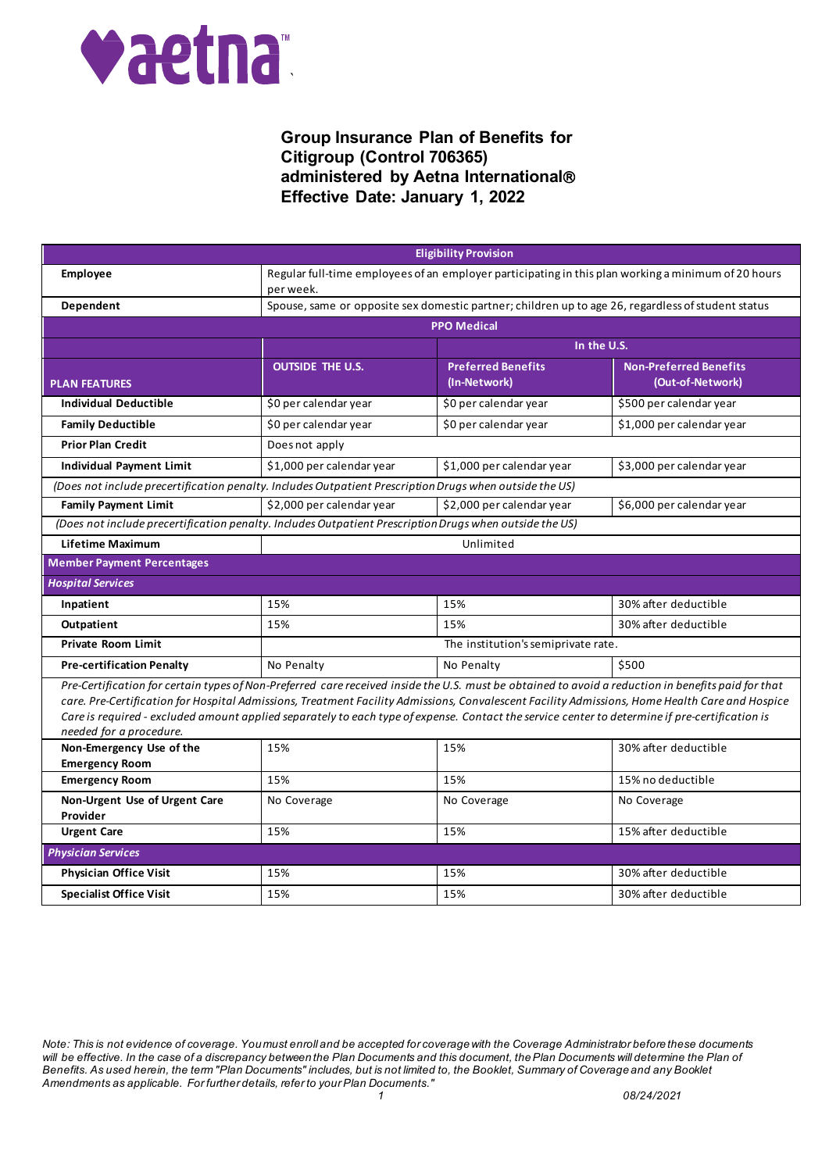

| <b>Eligibility Provision</b>                                                                                                                                                                                                                                                                                                                                                                                                                                                      |                                                                                                                  |                                           |                                                   |
|-----------------------------------------------------------------------------------------------------------------------------------------------------------------------------------------------------------------------------------------------------------------------------------------------------------------------------------------------------------------------------------------------------------------------------------------------------------------------------------|------------------------------------------------------------------------------------------------------------------|-------------------------------------------|---------------------------------------------------|
| Employee                                                                                                                                                                                                                                                                                                                                                                                                                                                                          | Regular full-time employees of an employer participating in this plan working a minimum of 20 hours<br>per week. |                                           |                                                   |
| Dependent                                                                                                                                                                                                                                                                                                                                                                                                                                                                         | Spouse, same or opposite sex domestic partner; children up to age 26, regardless of student status               |                                           |                                                   |
|                                                                                                                                                                                                                                                                                                                                                                                                                                                                                   |                                                                                                                  | <b>PPO Medical</b>                        |                                                   |
|                                                                                                                                                                                                                                                                                                                                                                                                                                                                                   | In the U.S.                                                                                                      |                                           |                                                   |
| <b>PLAN FEATURES</b>                                                                                                                                                                                                                                                                                                                                                                                                                                                              | <b>OUTSIDE THE U.S.</b>                                                                                          | <b>Preferred Benefits</b><br>(In-Network) | <b>Non-Preferred Benefits</b><br>(Out-of-Network) |
| <b>Individual Deductible</b>                                                                                                                                                                                                                                                                                                                                                                                                                                                      | \$0 per calendar year                                                                                            | \$0 per calendar year                     | \$500 per calendar year                           |
| <b>Family Deductible</b>                                                                                                                                                                                                                                                                                                                                                                                                                                                          | \$0 per calendar year                                                                                            | \$0 per calendar year                     | \$1,000 per calendar year                         |
| <b>Prior Plan Credit</b>                                                                                                                                                                                                                                                                                                                                                                                                                                                          | Does not apply                                                                                                   |                                           |                                                   |
| <b>Individual Payment Limit</b>                                                                                                                                                                                                                                                                                                                                                                                                                                                   | \$1,000 per calendar year                                                                                        | \$1,000 per calendar year                 | \$3,000 per calendar year                         |
| (Does not include precertification penalty. Includes Outpatient Prescription Drugs when outside the US)                                                                                                                                                                                                                                                                                                                                                                           |                                                                                                                  |                                           |                                                   |
| <b>Family Payment Limit</b>                                                                                                                                                                                                                                                                                                                                                                                                                                                       | \$2,000 per calendar year                                                                                        | \$2,000 per calendar year                 | \$6,000 per calendar year                         |
| (Does not include precertification penalty. Includes Outpatient Prescription Drugs when outside the US)                                                                                                                                                                                                                                                                                                                                                                           |                                                                                                                  |                                           |                                                   |
| Lifetime Maximum                                                                                                                                                                                                                                                                                                                                                                                                                                                                  |                                                                                                                  | Unlimited                                 |                                                   |
| <b>Member Payment Percentages</b>                                                                                                                                                                                                                                                                                                                                                                                                                                                 |                                                                                                                  |                                           |                                                   |
| <b>Hospital Services</b>                                                                                                                                                                                                                                                                                                                                                                                                                                                          |                                                                                                                  |                                           |                                                   |
| Inpatient                                                                                                                                                                                                                                                                                                                                                                                                                                                                         | 15%                                                                                                              | 15%                                       | 30% after deductible                              |
| Outpatient                                                                                                                                                                                                                                                                                                                                                                                                                                                                        | 15%                                                                                                              | 15%                                       | 30% after deductible                              |
| <b>Private Room Limit</b>                                                                                                                                                                                                                                                                                                                                                                                                                                                         | The institution's semiprivate rate.                                                                              |                                           |                                                   |
| <b>Pre-certification Penalty</b>                                                                                                                                                                                                                                                                                                                                                                                                                                                  | No Penalty                                                                                                       | No Penalty                                | \$500                                             |
| Pre-Certification for certain types of Non-Preferred care received inside the U.S. must be obtained to avoid a reduction in benefits paid for that<br>care. Pre-Certification for Hospital Admissions, Treatment Facility Admissions, Convalescent Facility Admissions, Home Health Care and Hospice<br>Care is required - excluded amount applied separately to each type of expense. Contact the service center to determine if pre-certification is<br>needed for a procedure. |                                                                                                                  |                                           |                                                   |
| Non-Emergency Use of the<br><b>Emergency Room</b>                                                                                                                                                                                                                                                                                                                                                                                                                                 | 15%                                                                                                              | 15%                                       | 30% after deductible                              |
| <b>Emergency Room</b>                                                                                                                                                                                                                                                                                                                                                                                                                                                             | 15%                                                                                                              | 15%                                       | 15% no deductible                                 |
| Non-Urgent Use of Urgent Care<br>Provider                                                                                                                                                                                                                                                                                                                                                                                                                                         | No Coverage                                                                                                      | No Coverage                               | No Coverage                                       |
| <b>Urgent Care</b>                                                                                                                                                                                                                                                                                                                                                                                                                                                                | 15%                                                                                                              | 15%                                       | 15% after deductible                              |
| <b>Physician Services</b>                                                                                                                                                                                                                                                                                                                                                                                                                                                         |                                                                                                                  |                                           |                                                   |
| <b>Physician Office Visit</b>                                                                                                                                                                                                                                                                                                                                                                                                                                                     | 15%                                                                                                              | 15%                                       | 30% after deductible                              |
| <b>Specialist Office Visit</b>                                                                                                                                                                                                                                                                                                                                                                                                                                                    | 15%                                                                                                              | 15%                                       | 30% after deductible                              |

*Note: This is not evidence of coverage. You must enroll and be accepted for coverage with the Coverage Administrator before these documents will be effective. In the case of a discrepancy between the Plan Documents and this document, the Plan Documents will determine the Plan of Benefits. As used herein, the term "Plan Documents" includes, but is not limited to, the Booklet, Summary of Coverage and any Booklet Amendments as applicable. For further details, refer to your Plan Documents." 1 08/24/2021*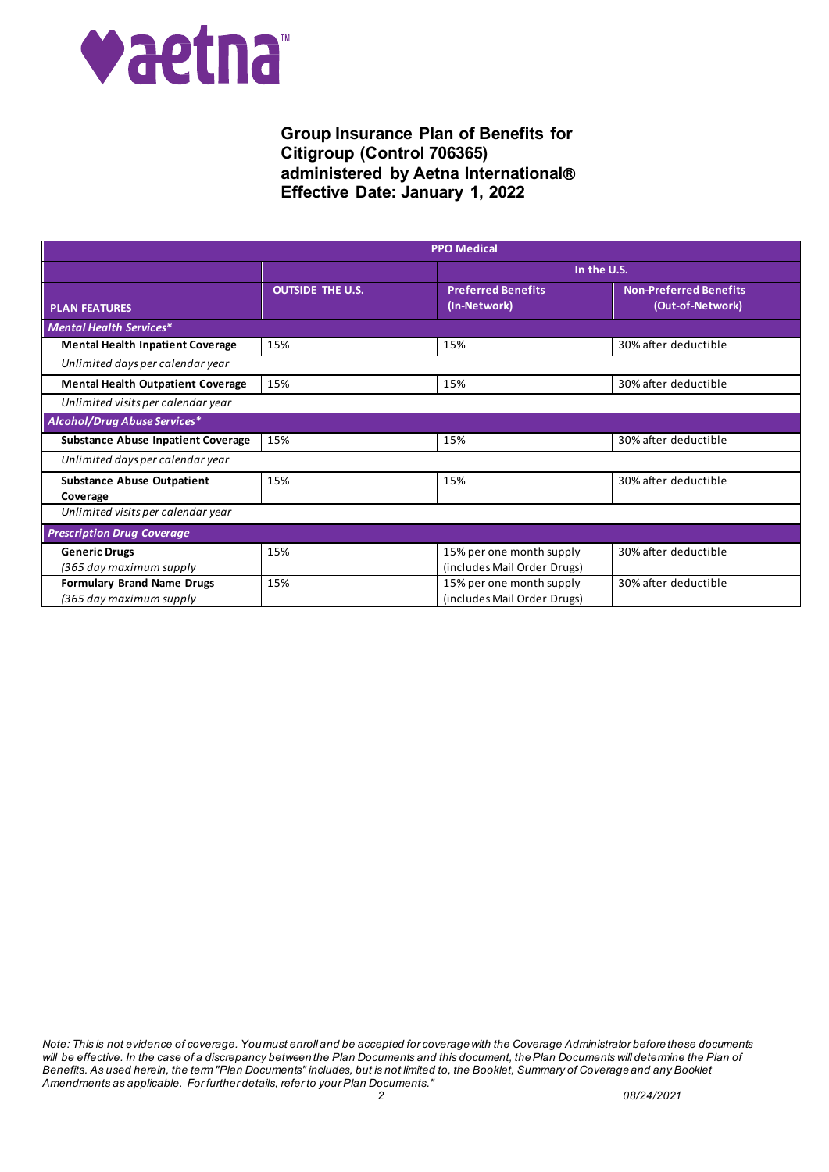

| <b>PPO Medical</b>                                           |                         |                                                         |                                                   |
|--------------------------------------------------------------|-------------------------|---------------------------------------------------------|---------------------------------------------------|
|                                                              |                         | In the U.S.                                             |                                                   |
| <b>PLAN FEATURES</b>                                         | <b>OUTSIDE THE U.S.</b> | <b>Preferred Benefits</b><br>(In-Network)               | <b>Non-Preferred Benefits</b><br>(Out-of-Network) |
| <b>Mental Health Services*</b>                               |                         |                                                         |                                                   |
| <b>Mental Health Inpatient Coverage</b>                      | 15%                     | 15%                                                     | 30% after deductible                              |
| Unlimited days per calendar year                             |                         |                                                         |                                                   |
| <b>Mental Health Outpatient Coverage</b>                     | 15%                     | 15%                                                     | 30% after deductible                              |
| Unlimited visits per calendar year                           |                         |                                                         |                                                   |
| Alcohol/Drug Abuse Services*                                 |                         |                                                         |                                                   |
| <b>Substance Abuse Inpatient Coverage</b>                    | 15%                     | 15%                                                     | 30% after deductible                              |
| Unlimited days per calendar year                             |                         |                                                         |                                                   |
| <b>Substance Abuse Outpatient</b><br>Coverage                | 15%                     | 15%                                                     | 30% after deductible                              |
| Unlimited visits per calendar year                           |                         |                                                         |                                                   |
| <b>Prescription Drug Coverage</b>                            |                         |                                                         |                                                   |
| <b>Generic Drugs</b><br>(365 day maximum supply              | 15%                     | 15% per one month supply<br>(includes Mail Order Drugs) | 30% after deductible                              |
| <b>Formulary Brand Name Drugs</b><br>(365 day maximum supply | 15%                     | 15% per one month supply<br>(includes Mail Order Drugs) | 30% after deductible                              |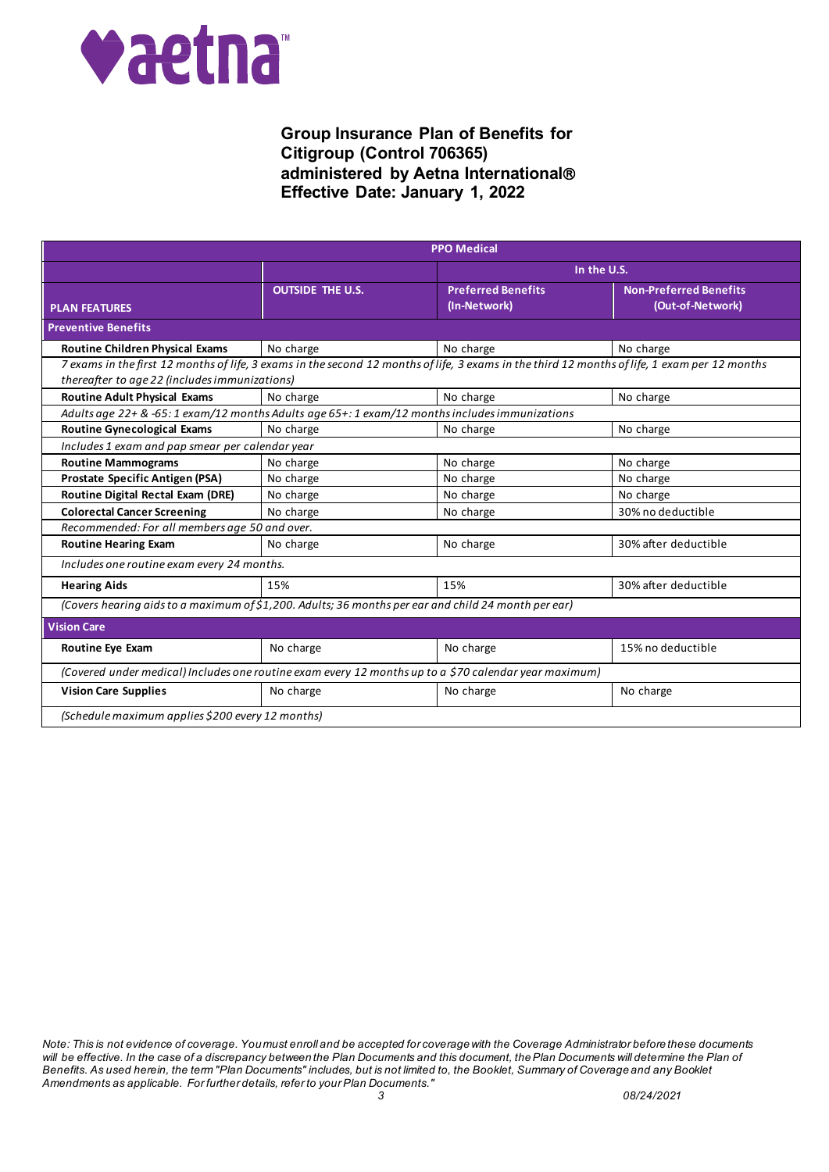

|                                                                                                                                                                                                |                                               | <b>PPO Medical</b>                        |                                                   |
|------------------------------------------------------------------------------------------------------------------------------------------------------------------------------------------------|-----------------------------------------------|-------------------------------------------|---------------------------------------------------|
|                                                                                                                                                                                                | In the U.S.                                   |                                           |                                                   |
| <b>PLAN FEATURES</b>                                                                                                                                                                           | <b>OUTSIDE THE U.S.</b>                       | <b>Preferred Benefits</b><br>(In-Network) | <b>Non-Preferred Benefits</b><br>(Out-of-Network) |
| <b>Preventive Benefits</b>                                                                                                                                                                     |                                               |                                           |                                                   |
| <b>Routine Children Physical Exams</b>                                                                                                                                                         | No charge                                     | No charge                                 | No charge                                         |
| 7 exams in the first 12 months of life, 3 exams in the second 12 months of life, 3 exams in the third 12 months of life, 1 exam per 12 months<br>thereafter to age 22 (includes immunizations) |                                               |                                           |                                                   |
| <b>Routine Adult Physical Exams</b>                                                                                                                                                            | No charge                                     | No charge                                 | No charge                                         |
| Adults age 22+ & -65: 1 exam/12 months Adults age 65+: 1 exam/12 months includes immunizations                                                                                                 |                                               |                                           |                                                   |
| <b>Routine Gynecological Exams</b>                                                                                                                                                             | No charge                                     | No charge                                 | No charge                                         |
| Includes 1 exam and pap smear per calendar year                                                                                                                                                |                                               |                                           |                                                   |
| <b>Routine Mammograms</b>                                                                                                                                                                      | No charge                                     | No charge                                 | No charge                                         |
| Prostate Specific Antigen (PSA)                                                                                                                                                                | No charge                                     | No charge                                 | No charge                                         |
| Routine Digital Rectal Exam (DRE)                                                                                                                                                              | No charge                                     | No charge                                 | No charge                                         |
| <b>Colorectal Cancer Screening</b>                                                                                                                                                             | No charge                                     | No charge                                 | 30% no deductible                                 |
|                                                                                                                                                                                                | Recommended: For all members age 50 and over. |                                           |                                                   |
| <b>Routine Hearing Exam</b>                                                                                                                                                                    | No charge                                     | No charge                                 | 30% after deductible                              |
| Includes one routine exam every 24 months.                                                                                                                                                     |                                               |                                           |                                                   |
| <b>Hearing Aids</b>                                                                                                                                                                            | 15%                                           | 15%                                       | 30% after deductible                              |
| (Covers hearing aids to a maximum of \$1,200. Adults; 36 months per ear and child 24 month per ear)                                                                                            |                                               |                                           |                                                   |
| <b>Vision Care</b>                                                                                                                                                                             |                                               |                                           |                                                   |
| <b>Routine Eye Exam</b>                                                                                                                                                                        | No charge                                     | No charge                                 | 15% no deductible                                 |
| (Covered under medical) Includes one routine exam every 12 months up to a \$70 calendar year maximum)                                                                                          |                                               |                                           |                                                   |
| <b>Vision Care Supplies</b>                                                                                                                                                                    | No charge                                     | No charge                                 | No charge                                         |
| (Schedule maximum applies \$200 every 12 months)                                                                                                                                               |                                               |                                           |                                                   |

*Note: This is not evidence of coverage. You must enroll and be accepted for coverage with the Coverage Administrator before these documents will be effective. In the case of a discrepancy between the Plan Documents and this document, the Plan Documents will determine the Plan of Benefits. As used herein, the term "Plan Documents" includes, but is not limited to, the Booklet, Summary of Coverage and any Booklet Amendments as applicable. For further details, refer to your Plan Documents." 3 08/24/2021*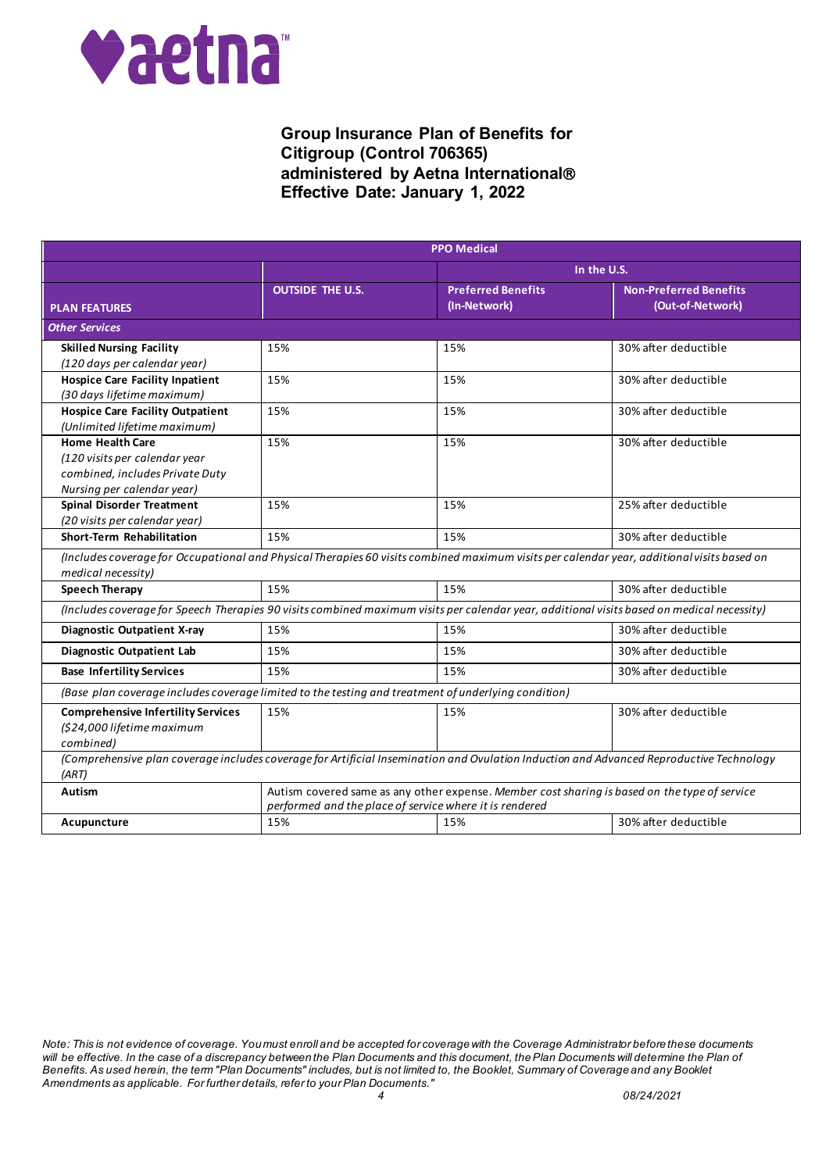

|                                                                                                                                                                  |                         | <b>PPO Medical</b>                                                                                                                                       |                                                                                                                                         |
|------------------------------------------------------------------------------------------------------------------------------------------------------------------|-------------------------|----------------------------------------------------------------------------------------------------------------------------------------------------------|-----------------------------------------------------------------------------------------------------------------------------------------|
|                                                                                                                                                                  | In the U.S.             |                                                                                                                                                          |                                                                                                                                         |
| <b>PLAN FEATURES</b>                                                                                                                                             | <b>OUTSIDE THE U.S.</b> | <b>Preferred Benefits</b><br>(In-Network)                                                                                                                | <b>Non-Preferred Benefits</b><br>(Out-of-Network)                                                                                       |
| <b>Other Services</b>                                                                                                                                            |                         |                                                                                                                                                          |                                                                                                                                         |
| <b>Skilled Nursing Facility</b><br>(120 days per calendar year)                                                                                                  | 15%                     | 15%                                                                                                                                                      | 30% after deductible                                                                                                                    |
| <b>Hospice Care Facility Inpatient</b><br>(30 days lifetime maximum)                                                                                             | 15%                     | 15%                                                                                                                                                      | 30% after deductible                                                                                                                    |
| <b>Hospice Care Facility Outpatient</b><br>(Unlimited lifetime maximum)                                                                                          | 15%                     | 15%                                                                                                                                                      | 30% after deductible                                                                                                                    |
| <b>Home Health Care</b><br>(120 visits per calendar year<br>combined, includes Private Duty<br>Nursing per calendar year)                                        | 15%                     | 15%                                                                                                                                                      | 30% after deductible                                                                                                                    |
| <b>Spinal Disorder Treatment</b><br>(20 visits per calendar year)                                                                                                | 15%                     | 15%                                                                                                                                                      | 25% after deductible                                                                                                                    |
| Short-Term Rehabilitation                                                                                                                                        | 15%                     | 15%                                                                                                                                                      | 30% after deductible                                                                                                                    |
| (Includes coverage for Occupational and Physical Therapies 60 visits combined maximum visits per calendar year, additional visits based on<br>medical necessity) |                         |                                                                                                                                                          |                                                                                                                                         |
| <b>Speech Therapy</b>                                                                                                                                            | 15%                     | 15%                                                                                                                                                      | 30% after deductible                                                                                                                    |
| (Includes coverage for Speech Therapies 90 visits combined maximum visits per calendar year, additional visits based on medical necessity)                       |                         |                                                                                                                                                          |                                                                                                                                         |
| <b>Diagnostic Outpatient X-ray</b>                                                                                                                               | 15%                     | 15%                                                                                                                                                      | 30% after deductible                                                                                                                    |
| Diagnostic Outpatient Lab                                                                                                                                        | 15%                     | 15%                                                                                                                                                      | 30% after deductible                                                                                                                    |
| <b>Base Infertility Services</b>                                                                                                                                 | 15%                     | 15%                                                                                                                                                      | 30% after deductible                                                                                                                    |
| (Base plan coverage includes coverage limited to the testing and treatment of underlying condition)                                                              |                         |                                                                                                                                                          |                                                                                                                                         |
| <b>Comprehensive Infertility Services</b><br>(\$24,000 lifetime maximum<br>combined)                                                                             | 15%                     | 15%                                                                                                                                                      | 30% after deductible                                                                                                                    |
| (ART)                                                                                                                                                            |                         |                                                                                                                                                          | (Comprehensive plan coverage includes coverage for Artificial Insemination and Ovulation Induction and Advanced Reproductive Technology |
| Autism                                                                                                                                                           |                         | Autism covered same as any other expense. Member cost sharing is based on the type of service<br>performed and the place of service where it is rendered |                                                                                                                                         |
| Acupuncture                                                                                                                                                      | 15%                     | 15%                                                                                                                                                      | 30% after deductible                                                                                                                    |

*Note: This is not evidence of coverage. You must enroll and be accepted for coverage with the Coverage Administrator before these documents will be effective. In the case of a discrepancy between the Plan Documents and this document, the Plan Documents will determine the Plan of Benefits. As used herein, the term "Plan Documents" includes, but is not limited to, the Booklet, Summary of Coverage and any Booklet Amendments as applicable. For further details, refer to your Plan Documents." 4 08/24/2021*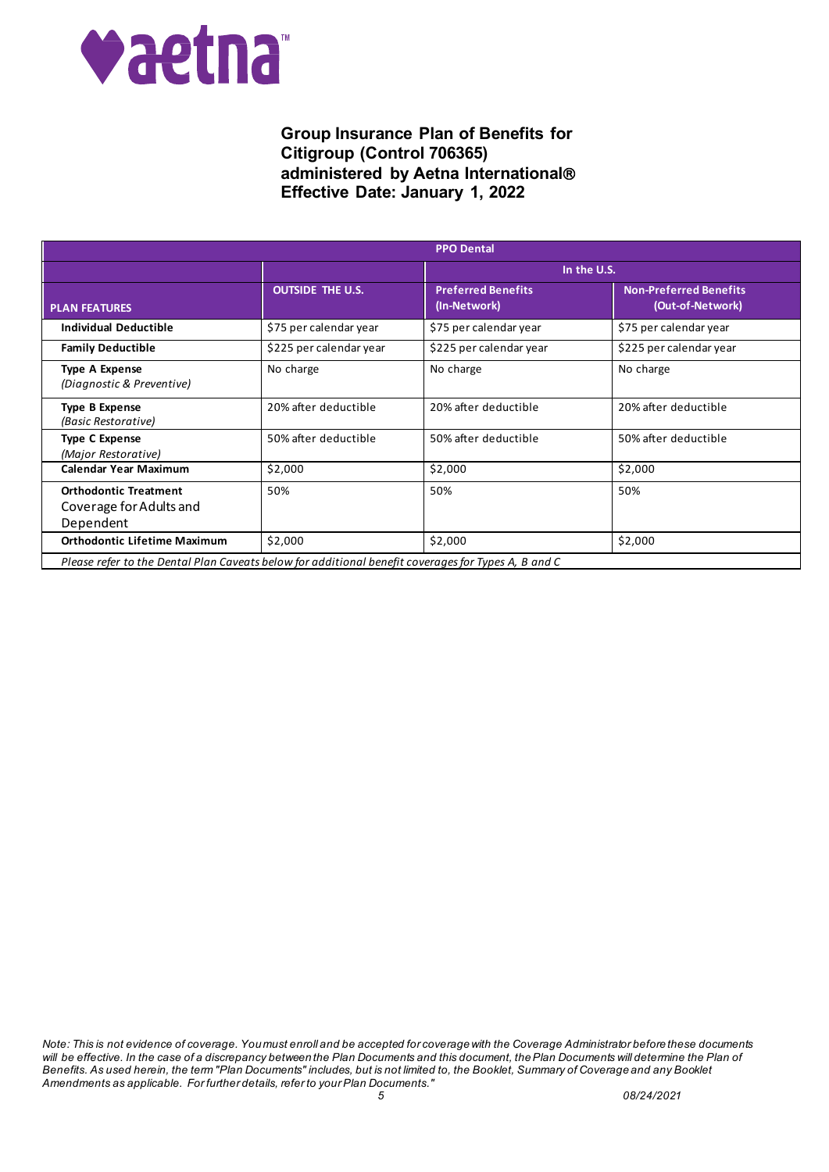

|                                                                                                     |                         | <b>PPO Dental</b>                         |                                                   |
|-----------------------------------------------------------------------------------------------------|-------------------------|-------------------------------------------|---------------------------------------------------|
|                                                                                                     |                         | In the U.S.                               |                                                   |
| <b>PLAN FEATURES</b>                                                                                | <b>OUTSIDE THE U.S.</b> | <b>Preferred Benefits</b><br>(In-Network) | <b>Non-Preferred Benefits</b><br>(Out-of-Network) |
| Individual Deductible                                                                               | \$75 per calendar year  | \$75 per calendar year                    | \$75 per calendar year                            |
| <b>Family Deductible</b>                                                                            | \$225 per calendar year | \$225 per calendar year                   | \$225 per calendar year                           |
| <b>Type A Expense</b><br>(Diagnostic & Preventive)                                                  | No charge               | No charge                                 | No charge                                         |
| <b>Type B Expense</b><br>(Basic Restorative)                                                        | 20% after deductible    | 20% after deductible                      | 20% after deductible                              |
| <b>Type C Expense</b><br>(Major Restorative)                                                        | 50% after deductible    | 50% after deductible                      | 50% after deductible                              |
| <b>Calendar Year Maximum</b>                                                                        | \$2,000                 | \$2,000                                   | \$2,000                                           |
| <b>Orthodontic Treatment</b><br>Coverage for Adults and<br>Dependent                                | 50%                     | 50%                                       | 50%                                               |
| <b>Orthodontic Lifetime Maximum</b>                                                                 | \$2,000                 | \$2,000                                   | \$2,000                                           |
| Please refer to the Dental Plan Caveats below for additional benefit coverages for Types A, B and C |                         |                                           |                                                   |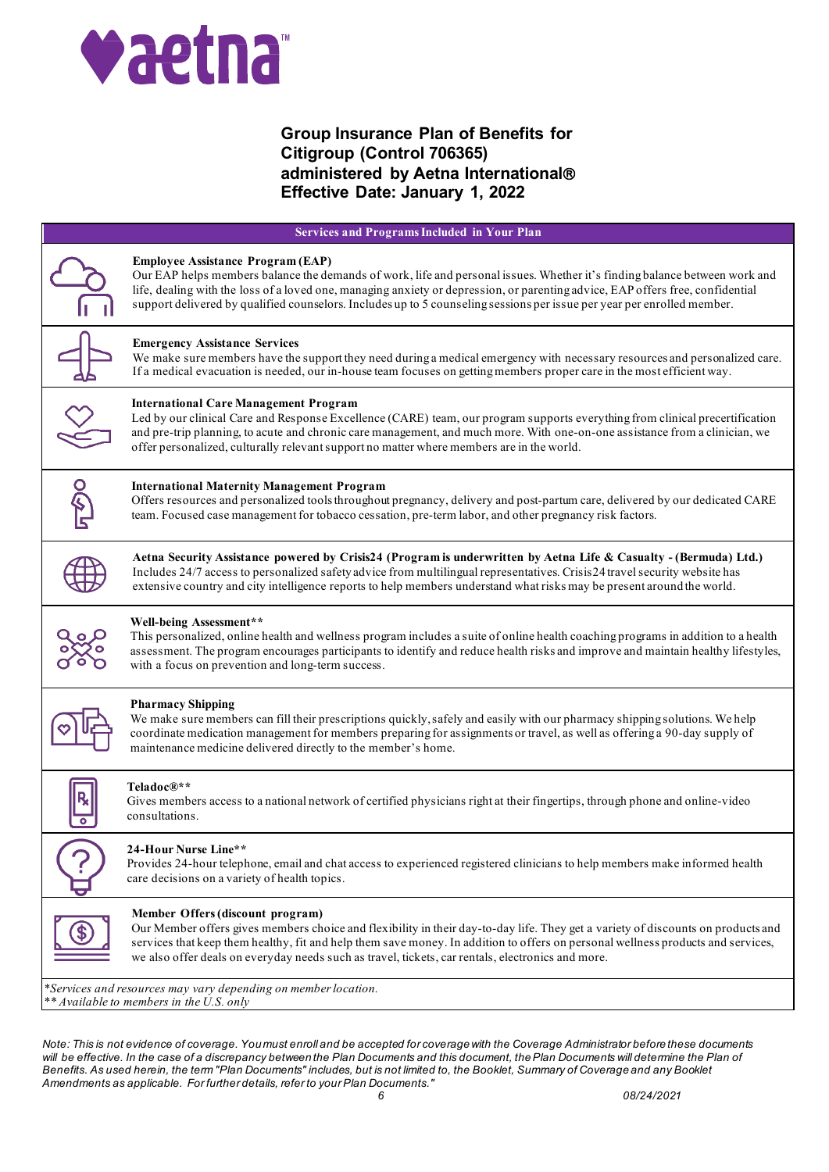

| <b>Services and Programs Included in Your Plan</b> |                                                                                                                                                                                                                                                                                                                                                                                                                                     |  |
|----------------------------------------------------|-------------------------------------------------------------------------------------------------------------------------------------------------------------------------------------------------------------------------------------------------------------------------------------------------------------------------------------------------------------------------------------------------------------------------------------|--|
|                                                    | <b>Employee Assistance Program (EAP)</b><br>Our EAP helps members balance the demands of work, life and personal issues. Whether it's finding balance between work and<br>life, dealing with the loss of a loved one, managing anxiety or depression, or parenting advice, EAP offers free, confidential<br>support delivered by qualified counselors. Includes up to 5 counseling sessions per issue per year per enrolled member. |  |
|                                                    | <b>Emergency Assistance Services</b><br>We make sure members have the support they need during a medical emergency with necessary resources and personalized care.<br>If a medical evacuation is needed, our in-house team focuses on getting members proper care in the most efficient way.                                                                                                                                        |  |
|                                                    | <b>International Care Management Program</b><br>Led by our clinical Care and Response Excellence (CARE) team, our program supports everything from clinical precertification<br>and pre-trip planning, to acute and chronic care management, and much more. With one-on-one assistance from a clinician, we<br>offer personalized, culturally relevant support no matter where members are in the world.                            |  |
| <b>ज्ले</b>                                        | <b>International Maternity Management Program</b><br>Offers resources and personalized tools throughout pregnancy, delivery and post-partum care, delivered by our dedicated CARE<br>team. Focused case management for tobacco cessation, pre-term labor, and other pregnancy risk factors.                                                                                                                                         |  |
|                                                    | Aetna Security Assistance powered by Crisis24 (Program is underwritten by Aetna Life & Casualty - (Bermuda) Ltd.)<br>Includes 24/7 access to personalized safety advice from multilingual representatives. Crisis24 travel security website has<br>extensive country and city intelligence reports to help members understand what risks may be present around the world.                                                           |  |
|                                                    | Well-being Assessment**<br>This personalized, online health and wellness program includes a suite of online health coaching programs in addition to a health<br>assessment. The program encourages participants to identify and reduce health risks and improve and maintain healthy lifestyles,<br>with a focus on prevention and long-term success.                                                                               |  |
|                                                    | <b>Pharmacy Shipping</b><br>We make sure members can fill their prescriptions quickly, safely and easily with our pharmacy shipping solutions. We help<br>coordinate medication management for members preparing for assignments or travel, as well as offering a 90-day supply of<br>maintenance medicine delivered directly to the member's home.                                                                                 |  |
|                                                    | Teladoc®**<br>Gives members access to a national network of certified physicians right at their fingertips, through phone and online-video<br>consultations.                                                                                                                                                                                                                                                                        |  |
|                                                    | 24-Hour Nurse Line**<br>Provides 24-hour telephone, email and chat access to experienced registered clinicians to help members make informed health<br>care decisions on a variety of health topics.                                                                                                                                                                                                                                |  |
|                                                    | Member Offers (discount program)<br>Our Member offers gives members choice and flexibility in their day-to-day life. They get a variety of discounts on products and<br>services that keep them healthy, fit and help them save money. In addition to offers on personal wellness products and services,<br>we also offer deals on everyday needs such as travel, tickets, car rentals, electronics and more.                       |  |
|                                                    | *Services and resources may vary depending on member location.<br>** Available to members in the U.S. only                                                                                                                                                                                                                                                                                                                          |  |

*Note: This is not evidence of coverage. You must enroll and be accepted for coverage with the Coverage Administrator before these documents will be effective. In the case of a discrepancy between the Plan Documents and this document, the Plan Documents will determine the Plan of Benefits. As used herein, the term "Plan Documents" includes, but is not limited to, the Booklet, Summary of Coverage and any Booklet Amendments as applicable. For further details, refer to your Plan Documents." 6 08/24/2021*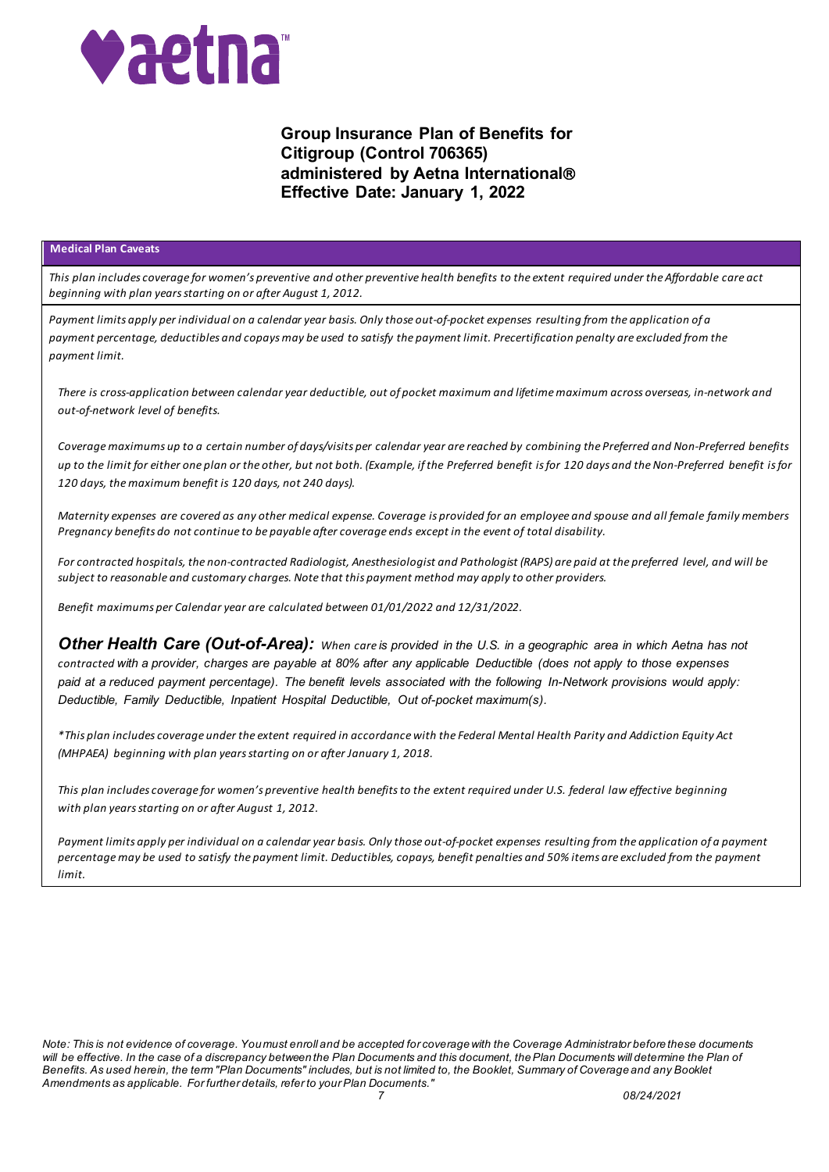

### **Medical Plan Caveats**

*This plan includes coverage for women's preventive and other preventive health benefits to the extent required under the Affordable care act beginning with plan years starting on or after August 1, 2012.*

*Payment limits apply per individual on a calendar year basis. Only those out-of-pocket expenses resulting from the application of a payment percentage, deductibles and copays may be used to satisfy the payment limit. Precertification penalty are excluded from the payment limit.*

*There is cross-application between calendar year deductible, out of pocket maximum and lifetime maximum across overseas, in-network and out-of-network level of benefits.*

*Coverage maximums up to a certain number of days/visits per calendar year are reached by combining the Preferred and Non-Preferred benefits up to the limit for either one plan or the other, but not both. (Example, if the Preferred benefit is for 120 days and the Non-Preferred benefit is for 120 days, the maximum benefit is 120 days, not 240 days).*

*Maternity expenses are covered as any other medical expense. Coverage is provided for an employee and spouse and all female family members Pregnancy benefits do not continue to be payable after coverage ends except in the event of total disability.*

*For contracted hospitals, the non-contracted Radiologist, Anesthesiologist and Pathologist (RAPS) are paid at the preferred level, and will be subject to reasonable and customary charges. Note that this payment method may apply to other providers.*

*Benefit maximums per Calendar year are calculated between 01/01/2022 and 12/31/2022.*

*Other Health Care (Out-of-Area): When care is provided in the U.S. in a geographic area in which Aetna has not contracted with a provider, charges are payable at 80% after any applicable Deductible (does not apply to those expenses paid at a reduced payment percentage). The benefit levels associated with the following In-Network provisions would apply: Deductible, Family Deductible, Inpatient Hospital Deductible, Out of-pocket maximum(s).*

*\*This plan includes coverage under the extent required in accordance with the Federal Mental Health Parity and Addiction Equity Act (MHPAEA) beginning with plan years starting on or after January 1, 2018.*

*This plan includes coverage for women's preventive health benefits to the extent required under U.S. federal law effective beginning with plan years starting on or after August 1, 2012.*

*Payment limits apply per individual on a calendar year basis. Only those out-of-pocket expenses resulting from the application of a payment percentage may be used to satisfy the payment limit. Deductibles, copays, benefit penalties and 50% items are excluded from the payment limit.*

*Note: This is not evidence of coverage. You must enroll and be accepted for coverage with the Coverage Administrator before these documents*  will be effective. In the case of a discrepancy between the Plan Documents and this document, the Plan Documents will determine the Plan of *Benefits. As used herein, the term "Plan Documents" includes, but is not limited to, the Booklet, Summary of Coverage and any Booklet Amendments as applicable. For further details, refer to your Plan Documents."*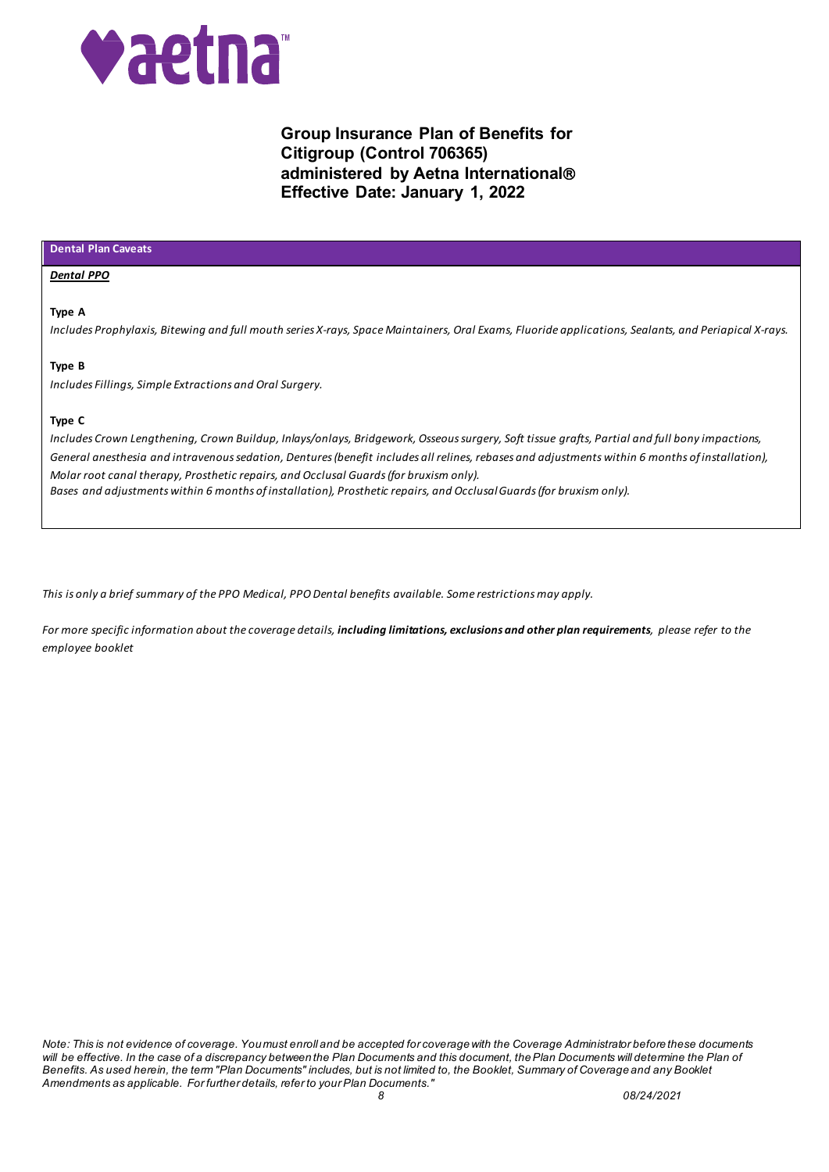

### **Dental Plan Caveats**

#### *Dental PPO*

### **Type A**

*Includes Prophylaxis, Bitewing and full mouth series X-rays, Space Maintainers, Oral Exams, Fluoride applications, Sealants, and Periapical X-rays.*

### **Type B**

*Includes Fillings, Simple Extractions and Oral Surgery.*

### **Type C**

*Includes Crown Lengthening, Crown Buildup, Inlays/onlays, Bridgework, Osseous surgery, Soft tissue grafts, Partial and full bony impactions, General anesthesia and intravenous sedation, Dentures (benefit includes all relines, rebases and adjustments within 6 months of installation), Molar root canal therapy, Prosthetic repairs, and Occlusal Guards (for bruxism only). Bases and adjustments within 6 months of installation), Prosthetic repairs, and Occlusal Guards (for bruxism only).*

*This is only a brief summary of the PPO Medical, PPO Dental benefits available. Some restrictions may apply.*

*For more specific information about the coverage details, including limitations, exclusions and other plan requirements, please refer to the employee booklet*

*Note: This is not evidence of coverage. You must enroll and be accepted for coverage with the Coverage Administrator before these documents will be effective. In the case of a discrepancy between the Plan Documents and this document, the Plan Documents will determine the Plan of Benefits. As used herein, the term "Plan Documents" includes, but is not limited to, the Booklet, Summary of Coverage and any Booklet Amendments as applicable. For further details, refer to your Plan Documents." 8 08/24/2021*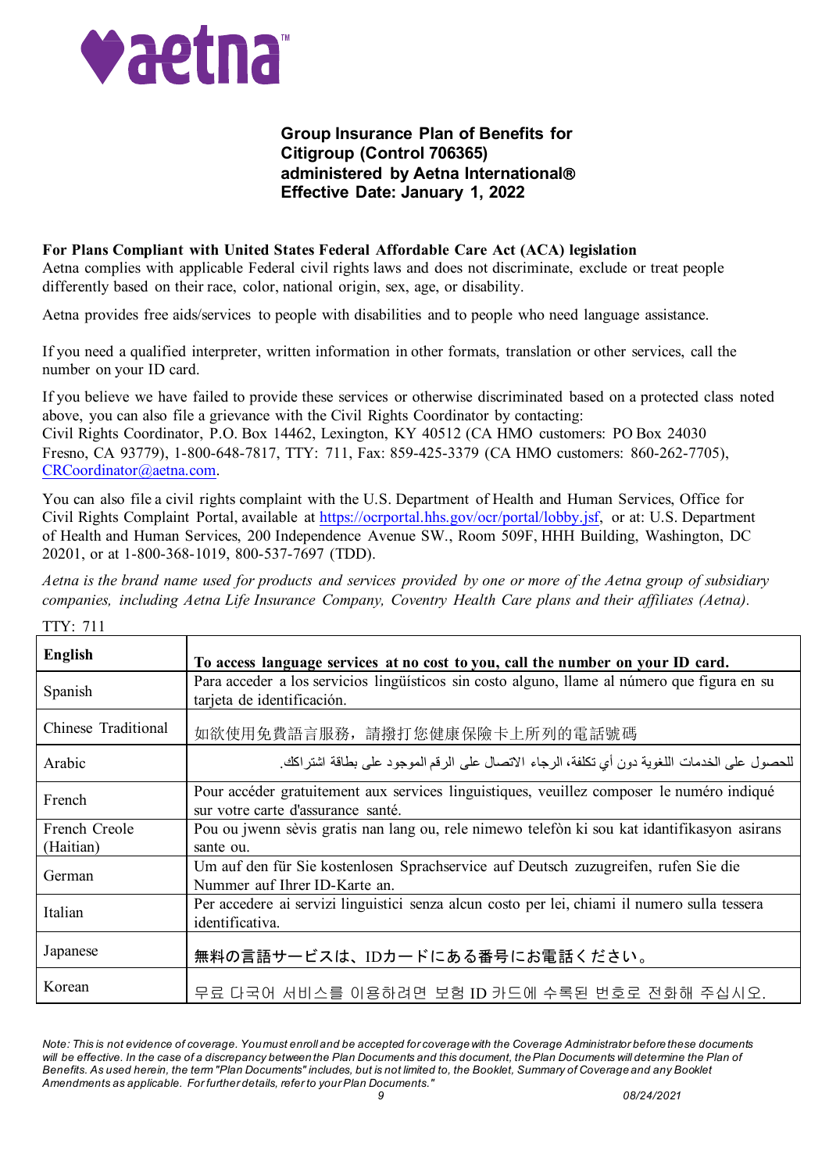

 $T(T)$ 

# **Group Insurance Plan of Benefits for Citigroup (Control 706365) administered by Aetna International Effective Date: January 1, 2022**

### **For Plans Compliant with United States Federal Affordable Care Act (ACA) legislation**

Aetna complies with applicable Federal civil rights laws and does not discriminate, exclude or treat people differently based on their race, color, national origin, sex, age, or disability.

Aetna provides free aids/services to people with disabilities and to people who need language assistance.

If you need a qualified interpreter, written information in other formats, translation or other services, call the number on your ID card.

If you believe we have failed to provide these services or otherwise discriminated based on a protected class noted above, you can also file a grievance with the Civil Rights Coordinator by contacting: Civil Rights Coordinator, P.O. Box 14462, Lexington, KY 40512 (CA HMO customers: PO Box 24030 Fresno, CA 93779), 1-800-648-7817, TTY: 711, Fax: 859-425-3379 (CA HMO customers: 860-262-7705), [CRCoordinator@aetna.com.](mailto:CRCoordinator@aetna.com)

You can also file a civil rights complaint with the U.S. Department of Health and Human Services, Office for Civil Rights Complaint Portal, available at [https://ocrportal.hhs.gov/ocr/portal/lobby.jsf,](https://ocrportal.hhs.gov/ocr/portal/lobby.jsf) or at: U.S. Department of Health and Human Services, 200 Independence Avenue SW., Room 509F, HHH Building, Washington, DC 20201, or at 1-800-368-1019, 800-537-7697 (TDD).

*Aetna is the brand name used for products and services provided by one or more of the Aetna group of subsidiary companies, including Aetna Life Insurance Company, Coventry Health Care plans and their affiliates (Aetna).*

| TIY: 711                   |                                                                                                                                 |
|----------------------------|---------------------------------------------------------------------------------------------------------------------------------|
| English                    | To access language services at no cost to you, call the number on your ID card.                                                 |
| Spanish                    | Para acceder a los servicios lingüísticos sin costo alguno, llame al número que figura en su<br>tarjeta de identificación.      |
| Chinese Traditional        | 如欲使用免費語言服務,請撥打您健康保險卡上所列的電話號碼                                                                                                    |
| Arabic                     | للحصول على الخدمات اللغوية دون أي تكلفة، الرجاء الاتصال على الرقم الموجود على بطاقة اشتراكك.                                    |
| French                     | Pour accéder gratuitement aux services linguistiques, veuillez composer le numéro indiqué<br>sur votre carte d'assurance santé. |
| French Creole<br>(Haitian) | Pou ou jwenn sèvis gratis nan lang ou, rele nimewo telefòn ki sou kat idantifikasyon asirans<br>sante ou.                       |
| German                     | Um auf den für Sie kostenlosen Sprachservice auf Deutsch zuzugreifen, rufen Sie die<br>Nummer auf Ihrer ID-Karte an.            |
| Italian                    | Per accedere ai servizi linguistici senza alcun costo per lei, chiami il numero sulla tessera<br>identificativa.                |
| Japanese                   | 無料の言語サービスは、IDカードにある番号にお電話ください。                                                                                                  |
| Korean                     | 무료 다국어 서비스를 이용하려면 보험 ID 카드에 수록된 번호로 전화해 주십시오.                                                                                   |

*Note: This is not evidence of coverage. You must enroll and be accepted for coverage with the Coverage Administrator before these documents*  will be effective. In the case of a discrepancy between the Plan Documents and this document, the Plan Documents will determine the Plan of *Benefits. As used herein, the term "Plan Documents" includes, but is not limited to, the Booklet, Summary of Coverage and any Booklet Amendments as applicable. For further details, refer to your Plan Documents." 9 08/24/2021*